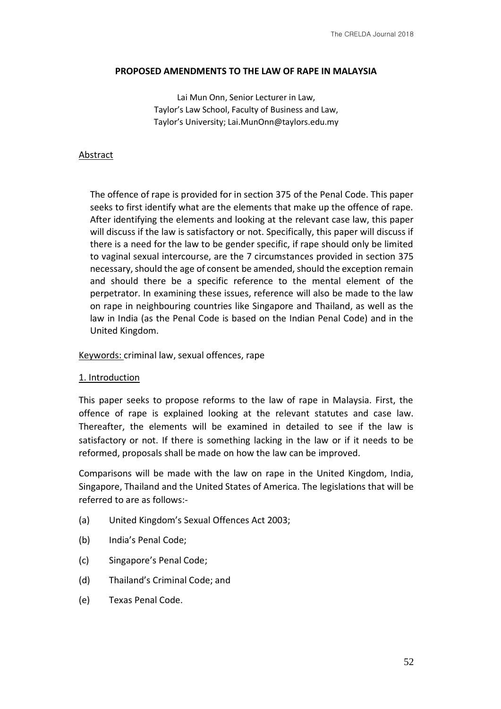### **PROPOSED AMENDMENTS TO THE LAW OF RAPE IN MALAYSIA**

Lai Mun Onn, Senior Lecturer in Law, Taylor's Law School, Faculty of Business and Law, Taylor's University; Lai.MunOnn@taylors.edu.my

### Abstract

The offence of rape is provided for in section 375 of the Penal Code. This paper seeks to first identify what are the elements that make up the offence of rape. After identifying the elements and looking at the relevant case law, this paper will discuss if the law is satisfactory or not. Specifically, this paper will discuss if there is a need for the law to be gender specific, if rape should only be limited to vaginal sexual intercourse, are the 7 circumstances provided in section 375 necessary, should the age of consent be amended, should the exception remain and should there be a specific reference to the mental element of the perpetrator. In examining these issues, reference will also be made to the law on rape in neighbouring countries like Singapore and Thailand, as well as the law in India (as the Penal Code is based on the Indian Penal Code) and in the United Kingdom.

### Keywords: criminal law, sexual offences, rape

### 1. Introduction

This paper seeks to propose reforms to the law of rape in Malaysia. First, the offence of rape is explained looking at the relevant statutes and case law. Thereafter, the elements will be examined in detailed to see if the law is satisfactory or not. If there is something lacking in the law or if it needs to be reformed, proposals shall be made on how the law can be improved.

Comparisons will be made with the law on rape in the United Kingdom, India, Singapore, Thailand and the United States of America. The legislations that will be referred to are as follows:-

- (a) United Kingdom's Sexual Offences Act 2003;
- (b) India's Penal Code;
- (c) Singapore's Penal Code;
- (d) Thailand's Criminal Code; and
- (e) Texas Penal Code.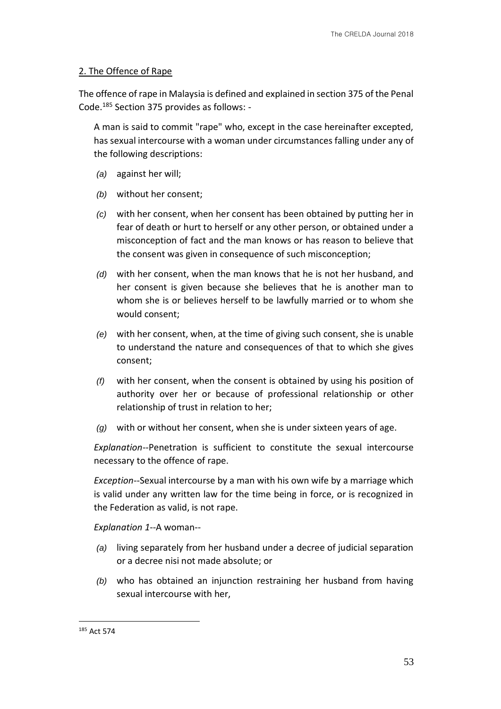## 2. The Offence of Rape

The offence of rape in Malaysia is defined and explained in section 375 of the Penal Code.<sup>185</sup> Section 375 provides as follows: -

A man is said to commit "rape" who, except in the case hereinafter excepted, has sexual intercourse with a woman under circumstances falling under any of the following descriptions:

- *(a)* against her will;
- *(b)* without her consent;
- *(c)* with her consent, when her consent has been obtained by putting her in fear of death or hurt to herself or any other person, or obtained under a misconception of fact and the man knows or has reason to believe that the consent was given in consequence of such misconception;
- *(d)* with her consent, when the man knows that he is not her husband, and her consent is given because she believes that he is another man to whom she is or believes herself to be lawfully married or to whom she would consent;
- *(e)* with her consent, when, at the time of giving such consent, she is unable to understand the nature and consequences of that to which she gives consent;
- *(f)* with her consent, when the consent is obtained by using his position of authority over her or because of professional relationship or other relationship of trust in relation to her;
- *(g)* with or without her consent, when she is under sixteen years of age.

*Explanation*--Penetration is sufficient to constitute the sexual intercourse necessary to the offence of rape.

*Exception*--Sexual intercourse by a man with his own wife by a marriage which is valid under any written law for the time being in force, or is recognized in the Federation as valid, is not rape.

*Explanation 1*--A woman--

- *(a)* living separately from her husband under a decree of judicial separation or a decree nisi not made absolute; or
- *(b)* who has obtained an injunction restraining her husband from having sexual intercourse with her,

<sup>185</sup> Act 574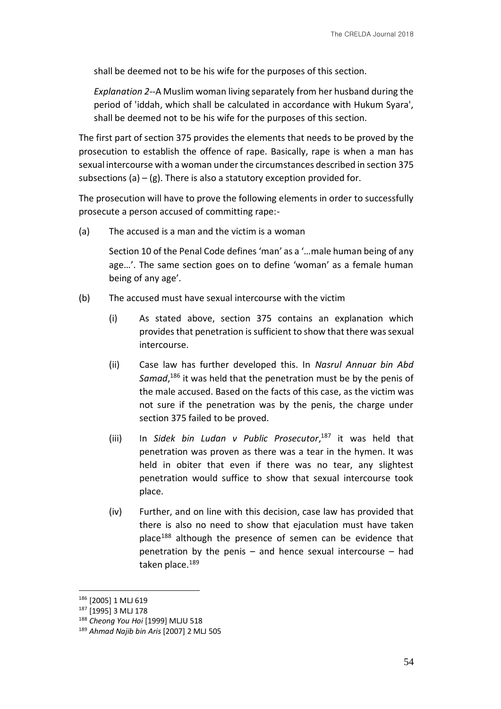shall be deemed not to be his wife for the purposes of this section.

*Explanation 2*--A Muslim woman living separately from her husband during the period of 'iddah, which shall be calculated in accordance with Hukum Syara', shall be deemed not to be his wife for the purposes of this section.

The first part of section 375 provides the elements that needs to be proved by the prosecution to establish the offence of rape. Basically, rape is when a man has sexual intercourse with a woman under the circumstances described in section 375 subsections (a) – (g). There is also a statutory exception provided for.

The prosecution will have to prove the following elements in order to successfully prosecute a person accused of committing rape:-

(a) The accused is a man and the victim is a woman

Section 10 of the Penal Code defines 'man' as a '…male human being of any age…'. The same section goes on to define 'woman' as a female human being of any age'.

- (b) The accused must have sexual intercourse with the victim
	- (i) As stated above, section 375 contains an explanation which provides that penetration is sufficient to show that there was sexual intercourse.
	- (ii) Case law has further developed this. In *Nasrul Annuar bin Abd*  Samad,<sup>186</sup> it was held that the penetration must be by the penis of the male accused. Based on the facts of this case, as the victim was not sure if the penetration was by the penis, the charge under section 375 failed to be proved.
	- (iii) In *Sidek bin Ludan v Public Prosecutor*, <sup>187</sup> it was held that penetration was proven as there was a tear in the hymen. It was held in obiter that even if there was no tear, any slightest penetration would suffice to show that sexual intercourse took place.
	- (iv) Further, and on line with this decision, case law has provided that there is also no need to show that ejaculation must have taken place<sup>188</sup> although the presence of semen can be evidence that penetration by the penis – and hence sexual intercourse – had taken place.<sup>189</sup>

<sup>186</sup> [2005] 1 MLJ 619

<sup>187</sup> [1995] 3 MLJ 178

<sup>188</sup> *Cheong You Hoi* [1999] MLJU 518

<sup>189</sup> *Ahmad Najib bin Aris* [2007] 2 MLJ 505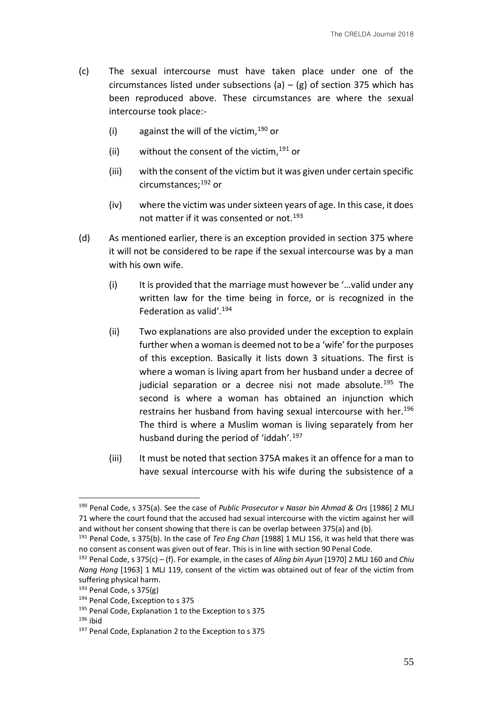- (c) The sexual intercourse must have taken place under one of the circumstances listed under subsections (a) – (g) of section 375 which has been reproduced above. These circumstances are where the sexual intercourse took place:-
	- (i) against the will of the victim,  $190$  or
	- (ii) without the consent of the victim,  $191$  or
	- (iii) with the consent of the victim but it was given under certain specific circumstances;<sup>192</sup> or
	- (iv) where the victim was under sixteen years of age. In this case, it does not matter if it was consented or not.<sup>193</sup>
- (d) As mentioned earlier, there is an exception provided in section 375 where it will not be considered to be rape if the sexual intercourse was by a man with his own wife.
	- (i) It is provided that the marriage must however be '…valid under any written law for the time being in force, or is recognized in the Federation as valid'.<sup>194</sup>
	- (ii) Two explanations are also provided under the exception to explain further when a woman is deemed not to be a 'wife' for the purposes of this exception. Basically it lists down 3 situations. The first is where a woman is living apart from her husband under a decree of judicial separation or a decree nisi not made absolute.<sup>195</sup> The second is where a woman has obtained an injunction which restrains her husband from having sexual intercourse with her.<sup>196</sup> The third is where a Muslim woman is living separately from her husband during the period of 'iddah'.<sup>197</sup>
	- (iii) It must be noted that section 375A makes it an offence for a man to have sexual intercourse with his wife during the subsistence of a

<sup>190</sup> Penal Code, s 375(a). See the case of *Public Prosecutor v Nasar bin Ahmad & Ors* [1986] 2 MLJ 71 where the court found that the accused had sexual intercourse with the victim against her will and without her consent showing that there is can be overlap between 375(a) and (b).

<sup>191</sup> Penal Code, s 375(b). In the case of *Teo Eng Chan* [1988] 1 MLJ 156, it was held that there was no consent as consent was given out of fear. This is in line with section 90 Penal Code.

<sup>192</sup> Penal Code, s 375(c) – (f). For example, in the cases of *Aling bin Ayun* [1970] 2 MLJ 160 and *Chiu Nang Hong* [1963] 1 MLJ 119, consent of the victim was obtained out of fear of the victim from suffering physical harm.

<sup>193</sup> Penal Code, s 375(g)

<sup>194</sup> Penal Code, Exception to s 375

<sup>&</sup>lt;sup>195</sup> Penal Code, Explanation 1 to the Exception to s 375

 $196$  ibid

<sup>&</sup>lt;sup>197</sup> Penal Code, Explanation 2 to the Exception to s 375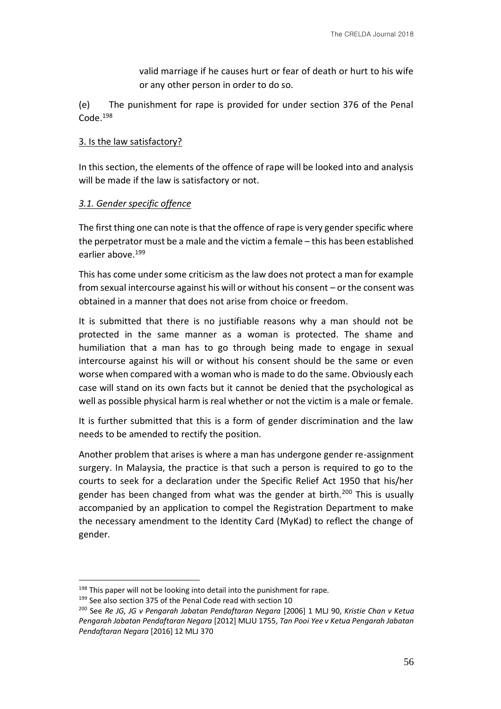valid marriage if he causes hurt or fear of death or hurt to his wife or any other person in order to do so.

(e) The punishment for rape is provided for under section 376 of the Penal Code.<sup>198</sup>

## 3. Is the law satisfactory?

In this section, the elements of the offence of rape will be looked into and analysis will be made if the law is satisfactory or not.

## *3.1. Gender specific offence*

The first thing one can note is that the offence of rape is very gender specific where the perpetrator must be a male and the victim a female – this has been established earlier above.<sup>199</sup>

This has come under some criticism as the law does not protect a man for example from sexual intercourse against his will or without his consent – or the consent was obtained in a manner that does not arise from choice or freedom.

It is submitted that there is no justifiable reasons why a man should not be protected in the same manner as a woman is protected. The shame and humiliation that a man has to go through being made to engage in sexual intercourse against his will or without his consent should be the same or even worse when compared with a woman who is made to do the same. Obviously each case will stand on its own facts but it cannot be denied that the psychological as well as possible physical harm is real whether or not the victim is a male or female.

It is further submitted that this is a form of gender discrimination and the law needs to be amended to rectify the position.

Another problem that arises is where a man has undergone gender re-assignment surgery. In Malaysia, the practice is that such a person is required to go to the courts to seek for a declaration under the Specific Relief Act 1950 that his/her gender has been changed from what was the gender at birth.<sup>200</sup> This is usually accompanied by an application to compel the Registration Department to make the necessary amendment to the Identity Card (MyKad) to reflect the change of gender.

<sup>&</sup>lt;sup>198</sup> This paper will not be looking into detail into the punishment for rape.

<sup>&</sup>lt;sup>199</sup> See also section 375 of the Penal Code read with section 10

<sup>200</sup> See *Re JG, JG v Pengarah Jabatan Pendaftaran Negara* [2006] 1 MLJ 90, *Kristie Chan v Ketua Pengarah Jabatan Pendaftaran Negara* [2012] MLJU 1755, *Tan Pooi Yee v Ketua Pengarah Jabatan Pendaftaran Negara* [2016] 12 MLJ 370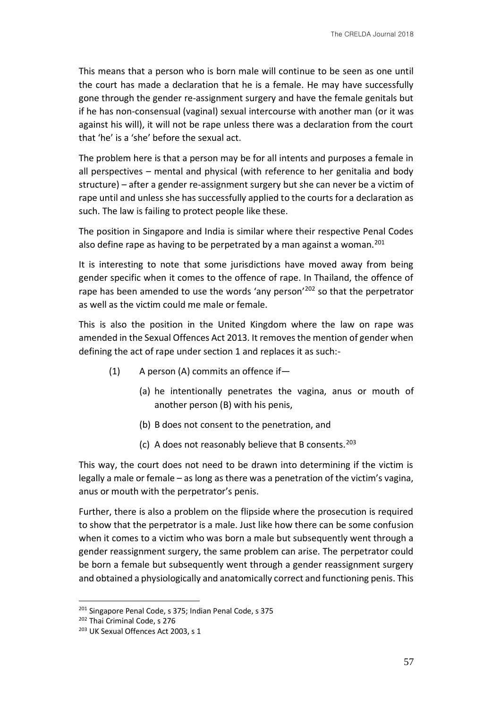This means that a person who is born male will continue to be seen as one until the court has made a declaration that he is a female. He may have successfully gone through the gender re-assignment surgery and have the female genitals but if he has non-consensual (vaginal) sexual intercourse with another man (or it was against his will), it will not be rape unless there was a declaration from the court that 'he' is a 'she' before the sexual act.

The problem here is that a person may be for all intents and purposes a female in all perspectives – mental and physical (with reference to her genitalia and body structure) – after a gender re-assignment surgery but she can never be a victim of rape until and unless she has successfully applied to the courts for a declaration as such. The law is failing to protect people like these.

The position in Singapore and India is similar where their respective Penal Codes also define rape as having to be perpetrated by a man against a woman.<sup>201</sup>

It is interesting to note that some jurisdictions have moved away from being gender specific when it comes to the offence of rape. In Thailand, the offence of rape has been amended to use the words 'any person'<sup>202</sup> so that the perpetrator as well as the victim could me male or female.

This is also the position in the United Kingdom where the law on rape was amended in the Sexual Offences Act 2013. It removes the mention of gender when defining the act of rape under section 1 and replaces it as such:-

- (1) A person (A) commits an offence if—
	- (a) he intentionally penetrates the vagina, anus or mouth of another person (B) with his penis,
	- (b) B does not consent to the penetration, and
	- (c) A does not reasonably believe that B consents. $203$

This way, the court does not need to be drawn into determining if the victim is legally a male or female – as long as there was a penetration of the victim's vagina, anus or mouth with the perpetrator's penis.

Further, there is also a problem on the flipside where the prosecution is required to show that the perpetrator is a male. Just like how there can be some confusion when it comes to a victim who was born a male but subsequently went through a gender reassignment surgery, the same problem can arise. The perpetrator could be born a female but subsequently went through a gender reassignment surgery and obtained a physiologically and anatomically correct and functioning penis. This

<sup>&</sup>lt;sup>201</sup> Singapore Penal Code, s 375; Indian Penal Code, s 375

<sup>202</sup> Thai Criminal Code, s 276

<sup>&</sup>lt;sup>203</sup> UK Sexual Offences Act 2003, s 1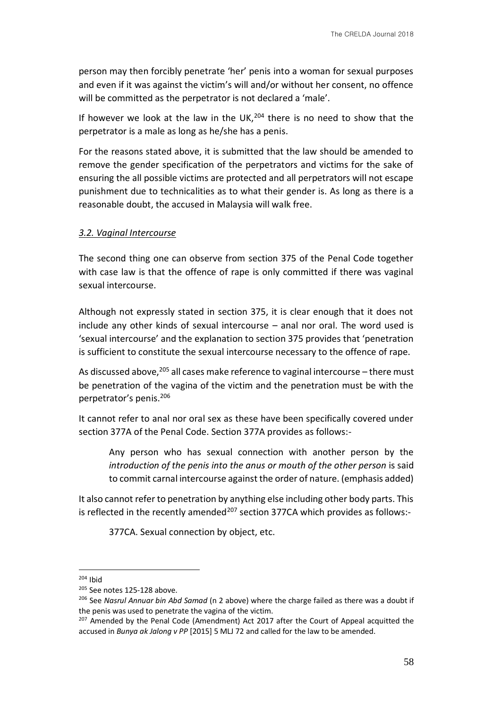person may then forcibly penetrate 'her' penis into a woman for sexual purposes and even if it was against the victim's will and/or without her consent, no offence will be committed as the perpetrator is not declared a 'male'.

If however we look at the law in the UK, $^{204}$  there is no need to show that the perpetrator is a male as long as he/she has a penis.

For the reasons stated above, it is submitted that the law should be amended to remove the gender specification of the perpetrators and victims for the sake of ensuring the all possible victims are protected and all perpetrators will not escape punishment due to technicalities as to what their gender is. As long as there is a reasonable doubt, the accused in Malaysia will walk free.

### *3.2. Vaginal Intercourse*

The second thing one can observe from section 375 of the Penal Code together with case law is that the offence of rape is only committed if there was vaginal sexual intercourse.

Although not expressly stated in section 375, it is clear enough that it does not include any other kinds of sexual intercourse – anal nor oral. The word used is 'sexual intercourse' and the explanation to section 375 provides that 'penetration is sufficient to constitute the sexual intercourse necessary to the offence of rape.

As discussed above,  $205$  all cases make reference to vaginal intercourse – there must be penetration of the vagina of the victim and the penetration must be with the perpetrator's penis.<sup>206</sup>

It cannot refer to anal nor oral sex as these have been specifically covered under section 377A of the Penal Code. Section 377A provides as follows:-

Any person who has sexual connection with another person by the *introduction of the penis into the anus or mouth of the other person* is said to commit carnal intercourse against the order of nature. (emphasis added)

It also cannot refer to penetration by anything else including other body parts. This is reflected in the recently amended<sup>207</sup> section 377CA which provides as follows:-

377CA. Sexual connection by object, etc.

<sup>&</sup>lt;u>.</u>  $204$  Ibid

<sup>205</sup> See notes 125-128 above.

<sup>206</sup> See *Nasrul Annuar bin Abd Samad* (n 2 above) where the charge failed as there was a doubt if the penis was used to penetrate the vagina of the victim.

<sup>&</sup>lt;sup>207</sup> Amended by the Penal Code (Amendment) Act 2017 after the Court of Appeal acquitted the accused in *Bunya ak Jalong v PP* [2015] 5 MLJ 72 and called for the law to be amended.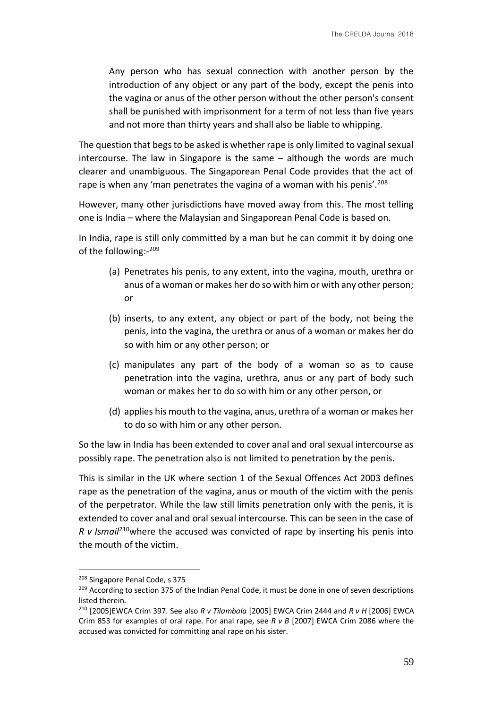Any person who has sexual connection with another person by the introduction of any object or any part of the body, except the penis into the vagina or anus of the other person without the other person's consent shall be punished with imprisonment for a term of not less than five years and not more than thirty years and shall also be liable to whipping.

The question that begs to be asked is whether rape is only limited to vaginal sexual intercourse. The law in Singapore is the same – although the words are much clearer and unambiguous. The Singaporean Penal Code provides that the act of rape is when any 'man penetrates the vagina of a woman with his penis'.<sup>208</sup>

However, many other jurisdictions have moved away from this. The most telling one is India – where the Malaysian and Singaporean Penal Code is based on.

In India, rape is still only committed by a man but he can commit it by doing one of the following:- 209

- (a) Penetrates his penis, to any extent, into the vagina, mouth, urethra or anus of a woman or makes her do so with him or with any other person; or
- (b) inserts, to any extent, any object or part of the body, not being the penis, into the vagina, the urethra or anus of a woman or makes her do so with him or any other person; or
- (c) manipulates any part of the body of a woman so as to cause penetration into the vagina, urethra, anus or any part of body such woman or makes her to do so with him or any other person, or
- (d) applies his mouth to the vagina, anus, urethra of a woman or makes her to do so with him or any other person.

So the law in India has been extended to cover anal and oral sexual intercourse as possibly rape. The penetration also is not limited to penetration by the penis.

This is similar in the UK where section 1 of the Sexual Offences Act 2003 defines rape as the penetration of the vagina, anus or mouth of the victim with the penis of the perpetrator. While the law still limits penetration only with the penis, it is extended to cover anal and oral sexual intercourse. This can be seen in the case of *R v Ismail*<sup>210</sup>where the accused was convicted of rape by inserting his penis into the mouth of the victim.

<sup>208</sup> Singapore Penal Code, s 375

<sup>209</sup> According to section 375 of the Indian Penal Code, it must be done in one of seven descriptions listed therein.

<sup>210</sup> [2005]EWCA Crim 397. See also *R v Tilambala* [2005] EWCA Crim 2444 and *R v H* [2006] EWCA Crim 853 for examples of oral rape. For anal rape, see *R v B* [2007] EWCA Crim 2086 where the accused was convicted for committing anal rape on his sister.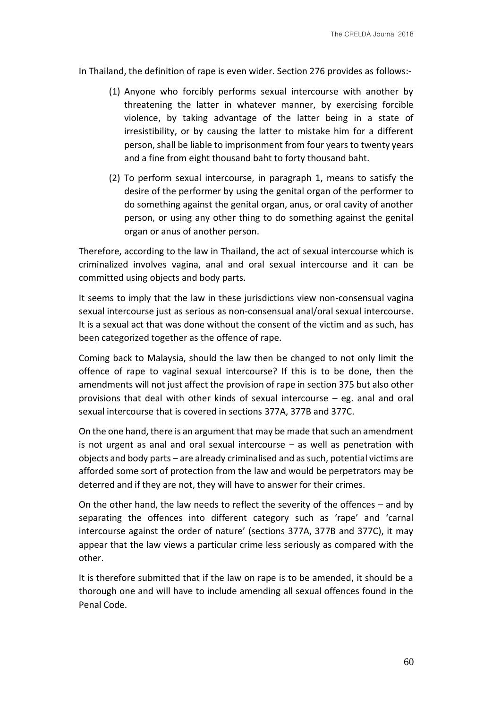In Thailand, the definition of rape is even wider. Section 276 provides as follows:-

- (1) Anyone who forcibly performs sexual intercourse with another by threatening the latter in whatever manner, by exercising forcible violence, by taking advantage of the latter being in a state of irresistibility, or by causing the latter to mistake him for a different person, shall be liable to imprisonment from four years to twenty years and a fine from eight thousand baht to forty thousand baht.
- (2) To perform sexual intercourse, in paragraph 1, means to satisfy the desire of the performer by using the genital organ of the performer to do something against the genital organ, anus, or oral cavity of another person, or using any other thing to do something against the genital organ or anus of another person.

Therefore, according to the law in Thailand, the act of sexual intercourse which is criminalized involves vagina, anal and oral sexual intercourse and it can be committed using objects and body parts.

It seems to imply that the law in these jurisdictions view non-consensual vagina sexual intercourse just as serious as non-consensual anal/oral sexual intercourse. It is a sexual act that was done without the consent of the victim and as such, has been categorized together as the offence of rape.

Coming back to Malaysia, should the law then be changed to not only limit the offence of rape to vaginal sexual intercourse? If this is to be done, then the amendments will not just affect the provision of rape in section 375 but also other provisions that deal with other kinds of sexual intercourse – eg. anal and oral sexual intercourse that is covered in sections 377A, 377B and 377C.

On the one hand, there is an argument that may be made that such an amendment is not urgent as anal and oral sexual intercourse – as well as penetration with objects and body parts – are already criminalised and as such, potential victims are afforded some sort of protection from the law and would be perpetrators may be deterred and if they are not, they will have to answer for their crimes.

On the other hand, the law needs to reflect the severity of the offences – and by separating the offences into different category such as 'rape' and 'carnal intercourse against the order of nature' (sections 377A, 377B and 377C), it may appear that the law views a particular crime less seriously as compared with the other.

It is therefore submitted that if the law on rape is to be amended, it should be a thorough one and will have to include amending all sexual offences found in the Penal Code.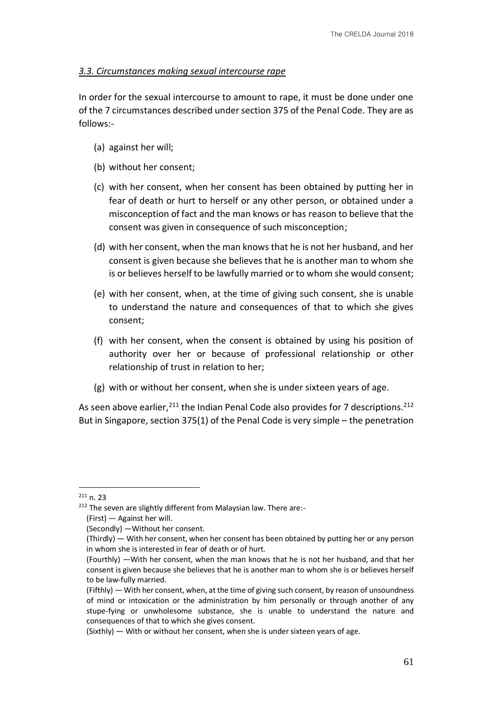## *3.3. Circumstances making sexual intercourse rape*

In order for the sexual intercourse to amount to rape, it must be done under one of the 7 circumstances described under section 375 of the Penal Code. They are as follows:-

- (a) against her will;
- (b) without her consent;
- (c) with her consent, when her consent has been obtained by putting her in fear of death or hurt to herself or any other person, or obtained under a misconception of fact and the man knows or has reason to believe that the consent was given in consequence of such misconception;
- (d) with her consent, when the man knows that he is not her husband, and her consent is given because she believes that he is another man to whom she is or believes herself to be lawfully married or to whom she would consent;
- (e) with her consent, when, at the time of giving such consent, she is unable to understand the nature and consequences of that to which she gives consent;
- (f) with her consent, when the consent is obtained by using his position of authority over her or because of professional relationship or other relationship of trust in relation to her;
- (g) with or without her consent, when she is under sixteen years of age.

As seen above earlier,  $2^{11}$  the Indian Penal Code also provides for 7 descriptions.  $2^{12}$ But in Singapore, section 375(1) of the Penal Code is very simple – the penetration

 $211 n. 23$ 

<sup>&</sup>lt;sup>212</sup> The seven are slightly different from Malaysian law. There are:-

<sup>(</sup>First) — Against her will.

<sup>(</sup>Secondly) —Without her consent.

<sup>(</sup>Thirdly) — With her consent, when her consent has been obtained by putting her or any person in whom she is interested in fear of death or of hurt.

<sup>(</sup>Fourthly) —With her consent, when the man knows that he is not her husband, and that her consent is given because she believes that he is another man to whom she is or believes herself to be law-fully married.

<sup>(</sup>Fifthly) — With her consent, when, at the time of giving such consent, by reason of unsoundness of mind or intoxication or the administration by him personally or through another of any stupe-fying or unwholesome substance, she is unable to understand the nature and consequences of that to which she gives consent.

<sup>(</sup>Sixthly) — With or without her consent, when she is under sixteen years of age.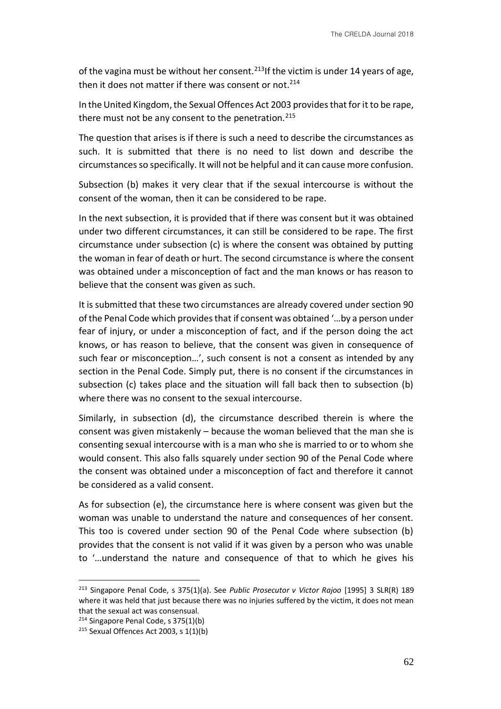of the vagina must be without her consent.<sup>213</sup>If the victim is under 14 years of age, then it does not matter if there was consent or not.<sup>214</sup>

In the United Kingdom, the Sexual Offences Act 2003 provides that for it to be rape, there must not be any consent to the penetration.  $215$ 

The question that arises is if there is such a need to describe the circumstances as such. It is submitted that there is no need to list down and describe the circumstances so specifically. It will not be helpful and it can cause more confusion.

Subsection (b) makes it very clear that if the sexual intercourse is without the consent of the woman, then it can be considered to be rape.

In the next subsection, it is provided that if there was consent but it was obtained under two different circumstances, it can still be considered to be rape. The first circumstance under subsection (c) is where the consent was obtained by putting the woman in fear of death or hurt. The second circumstance is where the consent was obtained under a misconception of fact and the man knows or has reason to believe that the consent was given as such.

It is submitted that these two circumstances are already covered under section 90 of the Penal Code which provides that if consent was obtained '…by a person under fear of injury, or under a misconception of fact, and if the person doing the act knows, or has reason to believe, that the consent was given in consequence of such fear or misconception…', such consent is not a consent as intended by any section in the Penal Code. Simply put, there is no consent if the circumstances in subsection (c) takes place and the situation will fall back then to subsection (b) where there was no consent to the sexual intercourse.

Similarly, in subsection (d), the circumstance described therein is where the consent was given mistakenly – because the woman believed that the man she is consenting sexual intercourse with is a man who she is married to or to whom she would consent. This also falls squarely under section 90 of the Penal Code where the consent was obtained under a misconception of fact and therefore it cannot be considered as a valid consent.

As for subsection (e), the circumstance here is where consent was given but the woman was unable to understand the nature and consequences of her consent. This too is covered under section 90 of the Penal Code where subsection (b) provides that the consent is not valid if it was given by a person who was unable to '…understand the nature and consequence of that to which he gives his

<sup>213</sup> Singapore Penal Code, s 375(1)(a). See *Public Prosecutor v Victor Rajoo* [1995] 3 SLR(R) 189 where it was held that just because there was no injuries suffered by the victim, it does not mean that the sexual act was consensual.

<sup>214</sup> Singapore Penal Code, s 375(1)(b)

 $215$  Sexual Offences Act 2003, s 1(1)(b)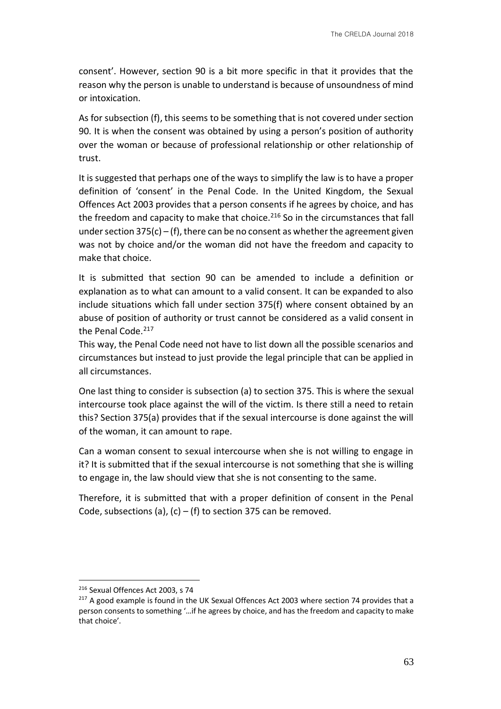consent'. However, section 90 is a bit more specific in that it provides that the reason why the person is unable to understand is because of unsoundness of mind or intoxication.

As for subsection (f), this seems to be something that is not covered under section 90. It is when the consent was obtained by using a person's position of authority over the woman or because of professional relationship or other relationship of trust.

It is suggested that perhaps one of the ways to simplify the law is to have a proper definition of 'consent' in the Penal Code. In the United Kingdom, the Sexual Offences Act 2003 provides that a person consents if he agrees by choice, and has the freedom and capacity to make that choice. $216$  So in the circumstances that fall under section  $375(c) - (f)$ , there can be no consent as whether the agreement given was not by choice and/or the woman did not have the freedom and capacity to make that choice.

It is submitted that section 90 can be amended to include a definition or explanation as to what can amount to a valid consent. It can be expanded to also include situations which fall under section 375(f) where consent obtained by an abuse of position of authority or trust cannot be considered as a valid consent in the Penal Code.<sup>217</sup>

This way, the Penal Code need not have to list down all the possible scenarios and circumstances but instead to just provide the legal principle that can be applied in all circumstances.

One last thing to consider is subsection (a) to section 375. This is where the sexual intercourse took place against the will of the victim. Is there still a need to retain this? Section 375(a) provides that if the sexual intercourse is done against the will of the woman, it can amount to rape.

Can a woman consent to sexual intercourse when she is not willing to engage in it? It is submitted that if the sexual intercourse is not something that she is willing to engage in, the law should view that she is not consenting to the same.

Therefore, it is submitted that with a proper definition of consent in the Penal Code, subsections (a), (c) – (f) to section 375 can be removed.

<sup>216</sup> Sexual Offences Act 2003, s 74

<sup>&</sup>lt;sup>217</sup> A good example is found in the UK Sexual Offences Act 2003 where section 74 provides that a person consents to something '…if he agrees by choice, and has the freedom and capacity to make that choice'.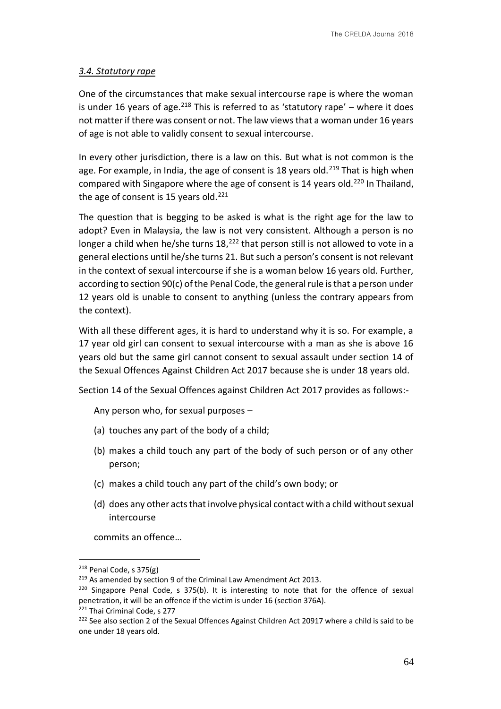# *3.4. Statutory rape*

One of the circumstances that make sexual intercourse rape is where the woman is under 16 years of age.<sup>218</sup> This is referred to as 'statutory rape' – where it does not matter if there was consent or not. The law views that a woman under 16 years of age is not able to validly consent to sexual intercourse.

In every other jurisdiction, there is a law on this. But what is not common is the age. For example, in India, the age of consent is 18 years old.<sup>219</sup> That is high when compared with Singapore where the age of consent is 14 years old.<sup>220</sup> In Thailand, the age of consent is 15 years old.<sup>221</sup>

The question that is begging to be asked is what is the right age for the law to adopt? Even in Malaysia, the law is not very consistent. Although a person is no longer a child when he/she turns  $18<sup>222</sup>$  that person still is not allowed to vote in a general elections until he/she turns 21. But such a person's consent is not relevant in the context of sexual intercourse if she is a woman below 16 years old. Further, according to section 90(c) of the Penal Code, the general rule is that a person under 12 years old is unable to consent to anything (unless the contrary appears from the context).

With all these different ages, it is hard to understand why it is so. For example, a 17 year old girl can consent to sexual intercourse with a man as she is above 16 years old but the same girl cannot consent to sexual assault under section 14 of the Sexual Offences Against Children Act 2017 because she is under 18 years old.

Section 14 of the Sexual Offences against Children Act 2017 provides as follows:-

Any person who, for sexual purposes –

- (a) touches any part of the body of a child;
- (b) makes a child touch any part of the body of such person or of any other person;
- (c) makes a child touch any part of the child's own body; or
- (d) does any other acts that involve physical contact with a child without sexual intercourse

commits an offence…

 $218$  Penal Code, s 375(g)

 $219$  As amended by section 9 of the Criminal Law Amendment Act 2013.

<sup>&</sup>lt;sup>220</sup> Singapore Penal Code, s 375(b). It is interesting to note that for the offence of sexual penetration, it will be an offence if the victim is under 16 (section 376A).

<sup>221</sup> Thai Criminal Code, s 277

<sup>&</sup>lt;sup>222</sup> See also section 2 of the Sexual Offences Against Children Act 20917 where a child is said to be one under 18 years old.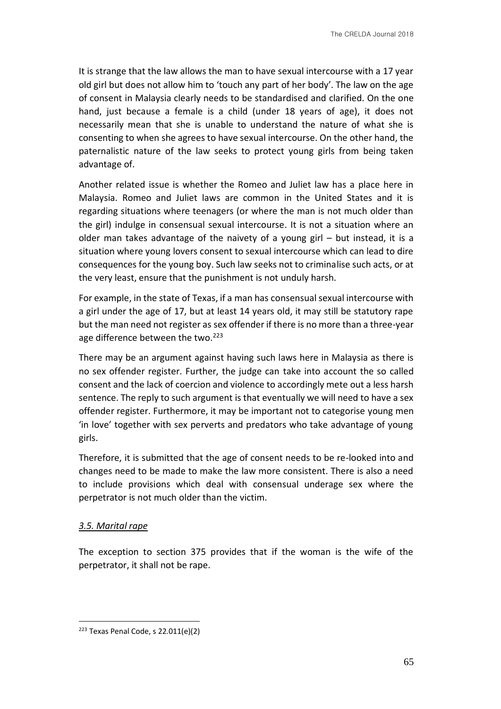It is strange that the law allows the man to have sexual intercourse with a 17 year old girl but does not allow him to 'touch any part of her body'. The law on the age of consent in Malaysia clearly needs to be standardised and clarified. On the one hand, just because a female is a child (under 18 years of age), it does not necessarily mean that she is unable to understand the nature of what she is consenting to when she agrees to have sexual intercourse. On the other hand, the paternalistic nature of the law seeks to protect young girls from being taken advantage of.

Another related issue is whether the Romeo and Juliet law has a place here in Malaysia. Romeo and Juliet laws are common in the United States and it is regarding situations where teenagers (or where the man is not much older than the girl) indulge in consensual sexual intercourse. It is not a situation where an older man takes advantage of the naivety of a young girl – but instead, it is a situation where young lovers consent to sexual intercourse which can lead to dire consequences for the young boy. Such law seeks not to criminalise such acts, or at the very least, ensure that the punishment is not unduly harsh.

For example, in the state of Texas, if a man has consensual sexual intercourse with a girl under the age of 17, but at least 14 years old, it may still be statutory rape but the man need not register as sex offender if there is no more than a three-year age difference between the two.<sup>223</sup>

There may be an argument against having such laws here in Malaysia as there is no sex offender register. Further, the judge can take into account the so called consent and the lack of coercion and violence to accordingly mete out a less harsh sentence. The reply to such argument is that eventually we will need to have a sex offender register. Furthermore, it may be important not to categorise young men 'in love' together with sex perverts and predators who take advantage of young girls.

Therefore, it is submitted that the age of consent needs to be re-looked into and changes need to be made to make the law more consistent. There is also a need to include provisions which deal with consensual underage sex where the perpetrator is not much older than the victim.

### *3.5. Marital rape*

<u>.</u>

The exception to section 375 provides that if the woman is the wife of the perpetrator, it shall not be rape.

 $223$  Texas Penal Code, s 22.011(e)(2)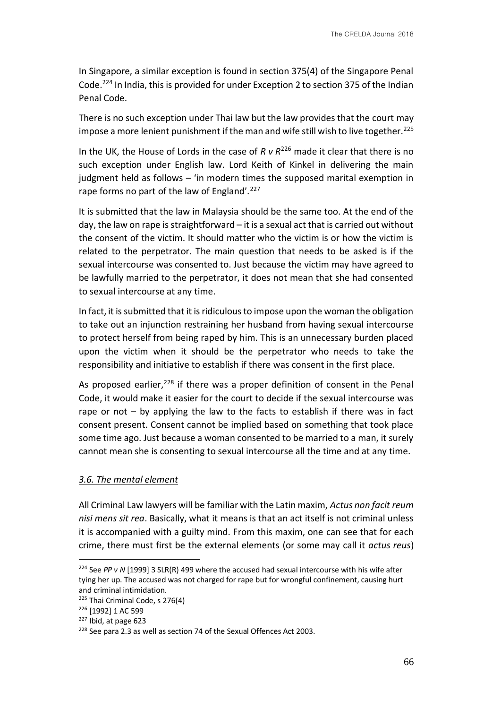In Singapore, a similar exception is found in section 375(4) of the Singapore Penal Code.<sup>224</sup> In India, this is provided for under Exception 2 to section 375 of the Indian Penal Code.

There is no such exception under Thai law but the law provides that the court may impose a more lenient punishment if the man and wife still wish to live together.<sup>225</sup>

In the UK, the House of Lords in the case of *R v R*<sup>226</sup> made it clear that there is no such exception under English law. Lord Keith of Kinkel in delivering the main judgment held as follows – 'in modern times the supposed marital exemption in rape forms no part of the law of England'.<sup>227</sup>

It is submitted that the law in Malaysia should be the same too. At the end of the day, the law on rape is straightforward – it is a sexual act that is carried out without the consent of the victim. It should matter who the victim is or how the victim is related to the perpetrator. The main question that needs to be asked is if the sexual intercourse was consented to. Just because the victim may have agreed to be lawfully married to the perpetrator, it does not mean that she had consented to sexual intercourse at any time.

In fact, it is submitted that it is ridiculous to impose upon the woman the obligation to take out an injunction restraining her husband from having sexual intercourse to protect herself from being raped by him. This is an unnecessary burden placed upon the victim when it should be the perpetrator who needs to take the responsibility and initiative to establish if there was consent in the first place.

As proposed earlier,  $228$  if there was a proper definition of consent in the Penal Code, it would make it easier for the court to decide if the sexual intercourse was rape or not – by applying the law to the facts to establish if there was in fact consent present. Consent cannot be implied based on something that took place some time ago. Just because a woman consented to be married to a man, it surely cannot mean she is consenting to sexual intercourse all the time and at any time.

### *3.6. The mental element*

All Criminal Law lawyers will be familiar with the Latin maxim, *Actus non facit reum nisi mens sit rea*. Basically, what it means is that an act itself is not criminal unless it is accompanied with a guilty mind. From this maxim, one can see that for each crime, there must first be the external elements (or some may call it *actus reus*)

<sup>224</sup> See *PP v N* [1999] 3 SLR(R) 499 where the accused had sexual intercourse with his wife after tying her up. The accused was not charged for rape but for wrongful confinement, causing hurt and criminal intimidation.

 $225$  Thai Criminal Code, s 276(4)

<sup>226</sup> [1992] 1 AC 599

<sup>227</sup> Ibid, at page 623

<sup>&</sup>lt;sup>228</sup> See para 2.3 as well as section 74 of the Sexual Offences Act 2003.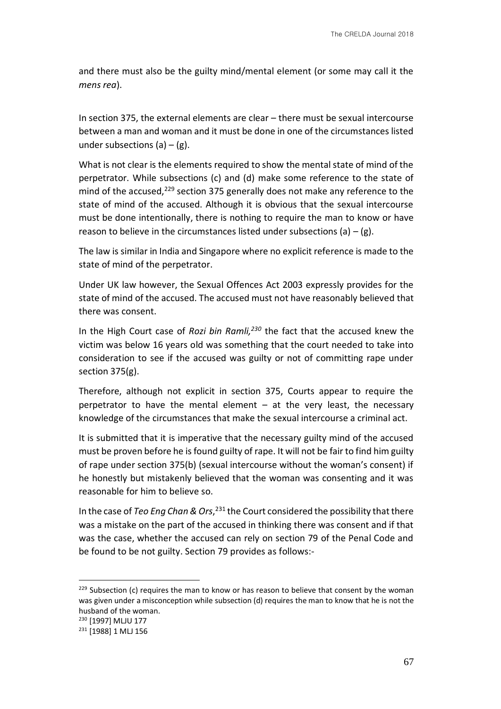and there must also be the guilty mind/mental element (or some may call it the *mens rea*).

In section 375, the external elements are clear – there must be sexual intercourse between a man and woman and it must be done in one of the circumstances listed under subsections  $(a) - (g)$ .

What is not clear is the elements required to show the mental state of mind of the perpetrator. While subsections (c) and (d) make some reference to the state of mind of the accused, <sup>229</sup> section 375 generally does not make any reference to the state of mind of the accused. Although it is obvious that the sexual intercourse must be done intentionally, there is nothing to require the man to know or have reason to believe in the circumstances listed under subsections (a)  $-$  (g).

The law is similar in India and Singapore where no explicit reference is made to the state of mind of the perpetrator.

Under UK law however, the Sexual Offences Act 2003 expressly provides for the state of mind of the accused. The accused must not have reasonably believed that there was consent.

In the High Court case of *Rozi bin Ramli,<sup>230</sup>* the fact that the accused knew the victim was below 16 years old was something that the court needed to take into consideration to see if the accused was guilty or not of committing rape under section 375(g).

Therefore, although not explicit in section 375, Courts appear to require the perpetrator to have the mental element – at the very least, the necessary knowledge of the circumstances that make the sexual intercourse a criminal act.

It is submitted that it is imperative that the necessary guilty mind of the accused must be proven before he is found guilty of rape. It will not be fair to find him guilty of rape under section 375(b) (sexual intercourse without the woman's consent) if he honestly but mistakenly believed that the woman was consenting and it was reasonable for him to believe so.

In the case of *Teo Eng Chan & Ors*, <sup>231</sup> the Court considered the possibility that there was a mistake on the part of the accused in thinking there was consent and if that was the case, whether the accused can rely on section 79 of the Penal Code and be found to be not guilty. Section 79 provides as follows:-

<sup>&</sup>lt;sup>229</sup> Subsection (c) requires the man to know or has reason to believe that consent by the woman was given under a misconception while subsection (d) requires the man to know that he is not the husband of the woman.

<sup>230</sup> [1997] MLJU 177

<sup>231</sup> [1988] 1 MLJ 156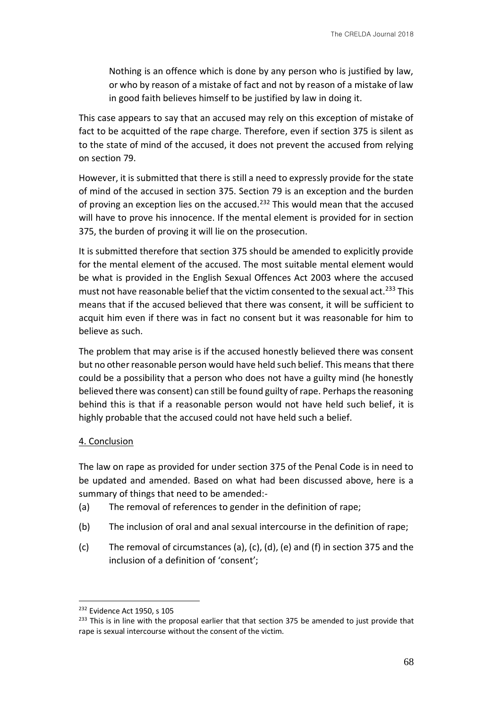Nothing is an offence which is done by any person who is justified by law, or who by reason of a mistake of fact and not by reason of a mistake of law in good faith believes himself to be justified by law in doing it.

This case appears to say that an accused may rely on this exception of mistake of fact to be acquitted of the rape charge. Therefore, even if section 375 is silent as to the state of mind of the accused, it does not prevent the accused from relying on section 79.

However, it is submitted that there is still a need to expressly provide for the state of mind of the accused in section 375. Section 79 is an exception and the burden of proving an exception lies on the accused.<sup>232</sup> This would mean that the accused will have to prove his innocence. If the mental element is provided for in section 375, the burden of proving it will lie on the prosecution.

It is submitted therefore that section 375 should be amended to explicitly provide for the mental element of the accused. The most suitable mental element would be what is provided in the English Sexual Offences Act 2003 where the accused must not have reasonable belief that the victim consented to the sexual act.<sup>233</sup> This means that if the accused believed that there was consent, it will be sufficient to acquit him even if there was in fact no consent but it was reasonable for him to believe as such.

The problem that may arise is if the accused honestly believed there was consent but no other reasonable person would have held such belief. This means that there could be a possibility that a person who does not have a guilty mind (he honestly believed there was consent) can still be found guilty of rape. Perhaps the reasoning behind this is that if a reasonable person would not have held such belief, it is highly probable that the accused could not have held such a belief.

# 4. Conclusion

The law on rape as provided for under section 375 of the Penal Code is in need to be updated and amended. Based on what had been discussed above, here is a summary of things that need to be amended:-

- (a) The removal of references to gender in the definition of rape;
- (b) The inclusion of oral and anal sexual intercourse in the definition of rape;
- (c) The removal of circumstances (a), (c), (d), (e) and (f) in section 375 and the inclusion of a definition of 'consent';

<sup>&</sup>lt;sup>232</sup> Evidence Act 1950, s 105

<sup>&</sup>lt;sup>233</sup> This is in line with the proposal earlier that that section 375 be amended to just provide that rape is sexual intercourse without the consent of the victim.